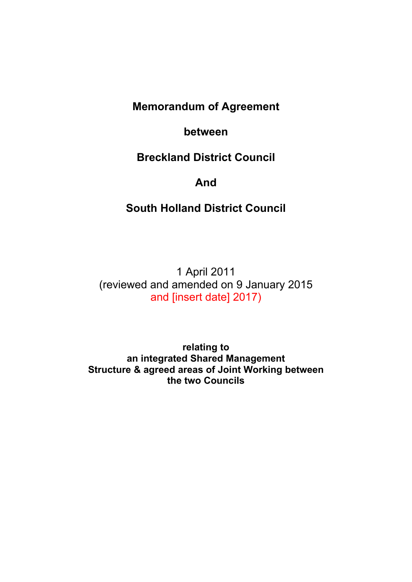# **Memorandum of Agreement**

## **between**

# **Breckland District Council**

## **And**

# **South Holland District Council**

1 April 2011 (reviewed and amended on 9 January 2015 and [insert date] 2017)

**relating to an integrated Shared Management Structure & agreed areas of Joint Working between the two Councils**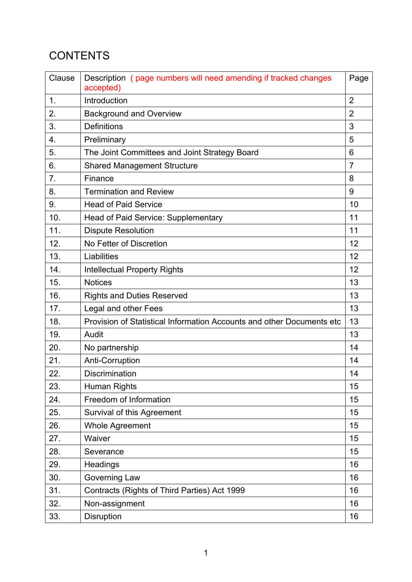# **CONTENTS**

| Clause           | Description (page numbers will need amending if tracked changes<br>accepted) | Page           |
|------------------|------------------------------------------------------------------------------|----------------|
| $\mathbf 1$ .    | Introduction                                                                 | $\overline{2}$ |
| 2.               | <b>Background and Overview</b>                                               | $\overline{2}$ |
| 3.               | <b>Definitions</b>                                                           | 3              |
| $\overline{4}$ . | Preliminary                                                                  | 5              |
| 5.               | The Joint Committees and Joint Strategy Board                                | 6              |
| 6.               | <b>Shared Management Structure</b>                                           | $\overline{7}$ |
| 7 <sub>1</sub>   | Finance                                                                      | 8              |
| 8.               | <b>Termination and Review</b>                                                | 9              |
| 9.               | <b>Head of Paid Service</b>                                                  | 10             |
| 10.              | <b>Head of Paid Service: Supplementary</b>                                   | 11             |
| 11.              | <b>Dispute Resolution</b>                                                    | 11             |
| 12.              | No Fetter of Discretion                                                      | 12             |
| 13.              | Liabilities                                                                  | 12             |
| 14.              | <b>Intellectual Property Rights</b>                                          | 12             |
| 15.              | <b>Notices</b>                                                               | 13             |
| 16.              | <b>Rights and Duties Reserved</b>                                            | 13             |
| 17.              | Legal and other Fees                                                         | 13             |
| 18.              | Provision of Statistical Information Accounts and other Documents etc        | 13             |
| 19.              | Audit                                                                        | 13             |
| 20.              | No partnership                                                               | 14             |
| 21.              | Anti-Corruption                                                              | 14             |
| 22.              | Discrimination                                                               | 14             |
| 23.              | Human Rights                                                                 | 15             |
| 24.              | Freedom of Information                                                       | 15             |
| 25.              | Survival of this Agreement                                                   | 15             |
| 26.              | Whole Agreement                                                              | 15             |
| 27.              | Waiver                                                                       | 15             |
| 28.              | Severance                                                                    | 15             |
| 29.              | Headings                                                                     | 16             |
| 30.              | Governing Law                                                                | 16             |
| 31.              | Contracts (Rights of Third Parties) Act 1999                                 | 16             |
| 32.              | Non-assignment                                                               | 16             |
| 33.              | Disruption                                                                   | 16             |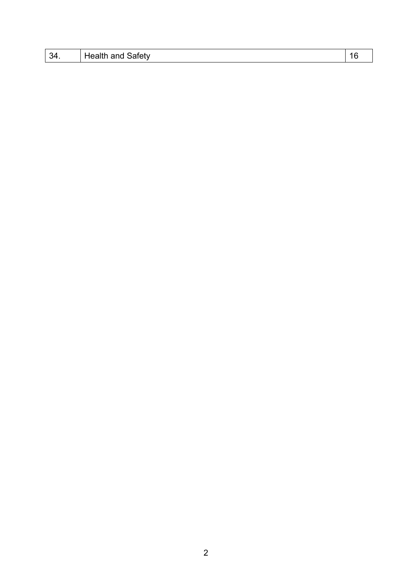| $\sim$<br>- 34. | .;afetv⊹<br>.<br>$\cdots$ |  |
|-----------------|---------------------------|--|
|                 |                           |  |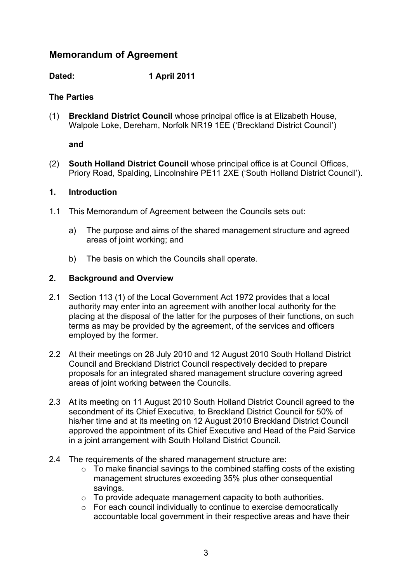## **Memorandum of Agreement**

**Dated: 1 April 2011**

## **The Parties**

(1) **Breckland District Council** whose principal office is at Elizabeth House, Walpole Loke, Dereham, Norfolk NR19 1EE ('Breckland District Council')

**and**

(2) **South Holland District Council** whose principal office is at Council Offices, Priory Road, Spalding, Lincolnshire PE11 2XE ('South Holland District Council').

### **1. Introduction**

- 1.1 This Memorandum of Agreement between the Councils sets out:
	- a) The purpose and aims of the shared management structure and agreed areas of joint working; and
	- b) The basis on which the Councils shall operate.

## **2. Background and Overview**

- 2.1 Section 113 (1) of the Local Government Act 1972 provides that a local authority may enter into an agreement with another local authority for the placing at the disposal of the latter for the purposes of their functions, on such terms as may be provided by the agreement, of the services and officers employed by the former.
- 2.2 At their meetings on 28 July 2010 and 12 August 2010 South Holland District Council and Breckland District Council respectively decided to prepare proposals for an integrated shared management structure covering agreed areas of joint working between the Councils.
- 2.3 At its meeting on 11 August 2010 South Holland District Council agreed to the secondment of its Chief Executive, to Breckland District Council for 50% of his/her time and at its meeting on 12 August 2010 Breckland District Council approved the appointment of its Chief Executive and Head of the Paid Service in a joint arrangement with South Holland District Council.
- 2.4 The requirements of the shared management structure are:
	- $\circ$  To make financial savings to the combined staffing costs of the existing management structures exceeding 35% plus other consequential savings.
	- $\circ$  To provide adequate management capacity to both authorities.
	- o For each council individually to continue to exercise democratically accountable local government in their respective areas and have their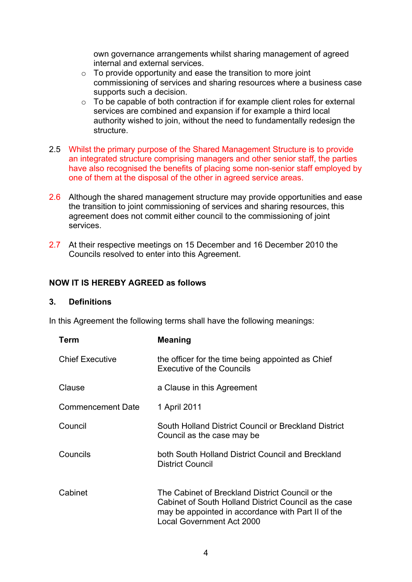own governance arrangements whilst sharing management of agreed internal and external services.

- $\circ$  To provide opportunity and ease the transition to more joint commissioning of services and sharing resources where a business case supports such a decision.
- o To be capable of both contraction if for example client roles for external services are combined and expansion if for example a third local authority wished to join, without the need to fundamentally redesign the structure.
- 2.5 Whilst the primary purpose of the Shared Management Structure is to provide an integrated structure comprising managers and other senior staff, the parties have also recognised the benefits of placing some non-senior staff employed by one of them at the disposal of the other in agreed service areas.
- 2.6 Although the shared management structure may provide opportunities and ease the transition to joint commissioning of services and sharing resources, this agreement does not commit either council to the commissioning of joint services.
- 2.7 At their respective meetings on 15 December and 16 December 2010 the Councils resolved to enter into this Agreement.

#### **NOW IT IS HEREBY AGREED as follows**

#### **3. Definitions**

In this Agreement the following terms shall have the following meanings:

| <b>Term</b>              | Meaning                                                                                                                                                                                             |
|--------------------------|-----------------------------------------------------------------------------------------------------------------------------------------------------------------------------------------------------|
| <b>Chief Executive</b>   | the officer for the time being appointed as Chief<br><b>Executive of the Councils</b>                                                                                                               |
| Clause                   | a Clause in this Agreement                                                                                                                                                                          |
| <b>Commencement Date</b> | 1 April 2011                                                                                                                                                                                        |
| Council                  | South Holland District Council or Breckland District<br>Council as the case may be                                                                                                                  |
| Councils                 | both South Holland District Council and Breckland<br><b>District Council</b>                                                                                                                        |
| Cabinet                  | The Cabinet of Breckland District Council or the<br>Cabinet of South Holland District Council as the case<br>may be appointed in accordance with Part II of the<br><b>Local Government Act 2000</b> |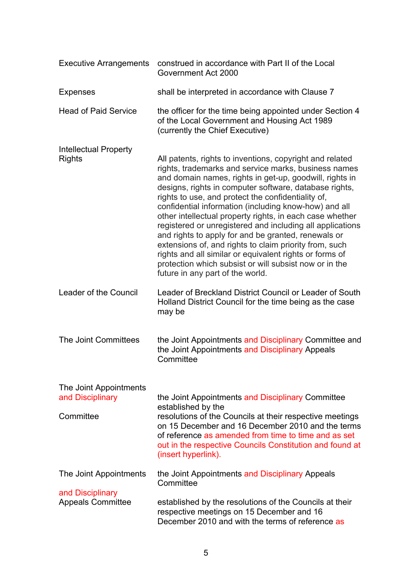| <b>Executive Arrangements</b>                           | construed in accordance with Part II of the Local<br>Government Act 2000                                                                                                                                                                                                                                                                                                                                                                                                                                                                                                                                                                                                                                                                                |
|---------------------------------------------------------|---------------------------------------------------------------------------------------------------------------------------------------------------------------------------------------------------------------------------------------------------------------------------------------------------------------------------------------------------------------------------------------------------------------------------------------------------------------------------------------------------------------------------------------------------------------------------------------------------------------------------------------------------------------------------------------------------------------------------------------------------------|
| <b>Expenses</b>                                         | shall be interpreted in accordance with Clause 7                                                                                                                                                                                                                                                                                                                                                                                                                                                                                                                                                                                                                                                                                                        |
| <b>Head of Paid Service</b>                             | the officer for the time being appointed under Section 4<br>of the Local Government and Housing Act 1989<br>(currently the Chief Executive)                                                                                                                                                                                                                                                                                                                                                                                                                                                                                                                                                                                                             |
| <b>Intellectual Property</b><br>Rights                  | All patents, rights to inventions, copyright and related<br>rights, trademarks and service marks, business names<br>and domain names, rights in get-up, goodwill, rights in<br>designs, rights in computer software, database rights,<br>rights to use, and protect the confidentiality of,<br>confidential information (including know-how) and all<br>other intellectual property rights, in each case whether<br>registered or unregistered and including all applications<br>and rights to apply for and be granted, renewals or<br>extensions of, and rights to claim priority from, such<br>rights and all similar or equivalent rights or forms of<br>protection which subsist or will subsist now or in the<br>future in any part of the world. |
| Leader of the Council                                   | Leader of Breckland District Council or Leader of South<br>Holland District Council for the time being as the case<br>may be                                                                                                                                                                                                                                                                                                                                                                                                                                                                                                                                                                                                                            |
| The Joint Committees                                    | the Joint Appointments and Disciplinary Committee and<br>the Joint Appointments and Disciplinary Appeals<br>Committee                                                                                                                                                                                                                                                                                                                                                                                                                                                                                                                                                                                                                                   |
| The Joint Appointments<br>and Disciplinary<br>Committee | the Joint Appointments and Disciplinary Committee<br>established by the<br>resolutions of the Councils at their respective meetings<br>on 15 December and 16 December 2010 and the terms<br>of reference as amended from time to time and as set<br>out in the respective Councils Constitution and found at<br>(insert hyperlink).                                                                                                                                                                                                                                                                                                                                                                                                                     |
| The Joint Appointments                                  | the Joint Appointments and Disciplinary Appeals<br>Committee                                                                                                                                                                                                                                                                                                                                                                                                                                                                                                                                                                                                                                                                                            |
| and Disciplinary<br><b>Appeals Committee</b>            | established by the resolutions of the Councils at their<br>respective meetings on 15 December and 16<br>December 2010 and with the terms of reference as                                                                                                                                                                                                                                                                                                                                                                                                                                                                                                                                                                                                |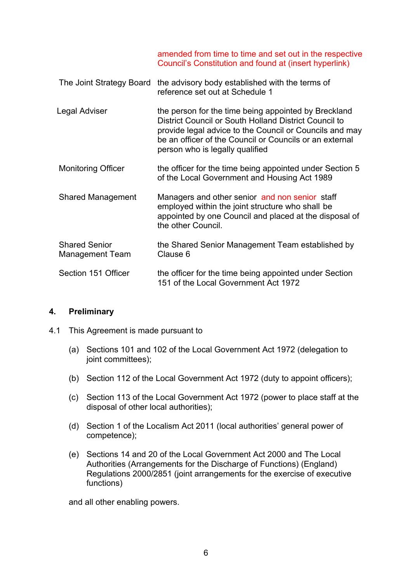amended from time to time and set out in the respective Council's Constitution and found at (insert hyperlink)

|                                         | The Joint Strategy Board the advisory body established with the terms of<br>reference set out at Schedule 1                                                                                                                                                            |
|-----------------------------------------|------------------------------------------------------------------------------------------------------------------------------------------------------------------------------------------------------------------------------------------------------------------------|
| Legal Adviser                           | the person for the time being appointed by Breckland<br>District Council or South Holland District Council to<br>provide legal advice to the Council or Councils and may<br>be an officer of the Council or Councils or an external<br>person who is legally qualified |
| <b>Monitoring Officer</b>               | the officer for the time being appointed under Section 5<br>of the Local Government and Housing Act 1989                                                                                                                                                               |
| <b>Shared Management</b>                | Managers and other senior and non senior staff<br>employed within the joint structure who shall be<br>appointed by one Council and placed at the disposal of<br>the other Council.                                                                                     |
| <b>Shared Senior</b><br>Management Team | the Shared Senior Management Team established by<br>Clause 6                                                                                                                                                                                                           |
| Section 151 Officer                     | the officer for the time being appointed under Section<br>151 of the Local Government Act 1972                                                                                                                                                                         |

#### **4. Preliminary**

- 4.1 This Agreement is made pursuant to
	- (a) Sections 101 and 102 of the Local Government Act 1972 (delegation to joint committees);
	- (b) Section 112 of the Local Government Act 1972 (duty to appoint officers);
	- (c) Section 113 of the Local Government Act 1972 (power to place staff at the disposal of other local authorities);
	- (d) Section 1 of the Localism Act 2011 (local authorities' general power of competence);
	- (e) Sections 14 and 20 of the Local Government Act 2000 and The Local Authorities (Arrangements for the Discharge of Functions) (England) Regulations 2000/2851 (joint arrangements for the exercise of executive functions)

and all other enabling powers.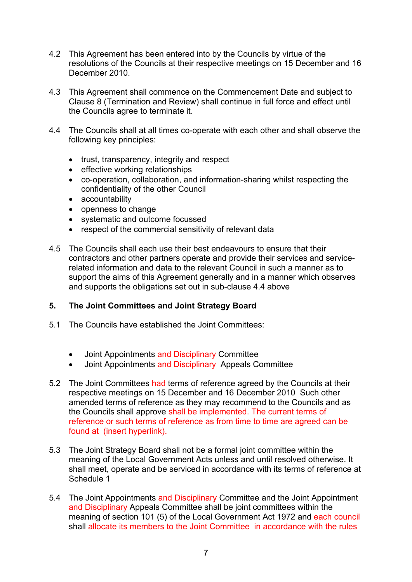- 4.2 This Agreement has been entered into by the Councils by virtue of the resolutions of the Councils at their respective meetings on 15 December and 16 December 2010.
- 4.3 This Agreement shall commence on the Commencement Date and subject to Clause 8 (Termination and Review) shall continue in full force and effect until the Councils agree to terminate it.
- 4.4 The Councils shall at all times co-operate with each other and shall observe the following key principles:
	- trust, transparency, integrity and respect
	- effective working relationships
	- co-operation, collaboration, and information-sharing whilst respecting the confidentiality of the other Council
	- accountability
	- openness to change
	- systematic and outcome focussed
	- respect of the commercial sensitivity of relevant data
- 4.5 The Councils shall each use their best endeavours to ensure that their contractors and other partners operate and provide their services and servicerelated information and data to the relevant Council in such a manner as to support the aims of this Agreement generally and in a manner which observes and supports the obligations set out in sub-clause 4.4 above

### **5. The Joint Committees and Joint Strategy Board**

- 5.1 The Councils have established the Joint Committees:
	- Joint Appointments and Disciplinary Committee
	- Joint Appointments and Disciplinary Appeals Committee
- 5.2 The Joint Committees had terms of reference agreed by the Councils at their respective meetings on 15 December and 16 December 2010 Such other amended terms of reference as they may recommend to the Councils and as the Councils shall approve shall be implemented. The current terms of reference or such terms of reference as from time to time are agreed can be found at (insert hyperlink).
- 5.3 The Joint Strategy Board shall not be a formal joint committee within the meaning of the Local Government Acts unless and until resolved otherwise. It shall meet, operate and be serviced in accordance with its terms of reference at Schedule 1
- 5.4 The Joint Appointments and Disciplinary Committee and the Joint Appointment and Disciplinary Appeals Committee shall be joint committees within the meaning of section 101 (5) of the Local Government Act 1972 and each council shall allocate its members to the Joint Committee in accordance with the rules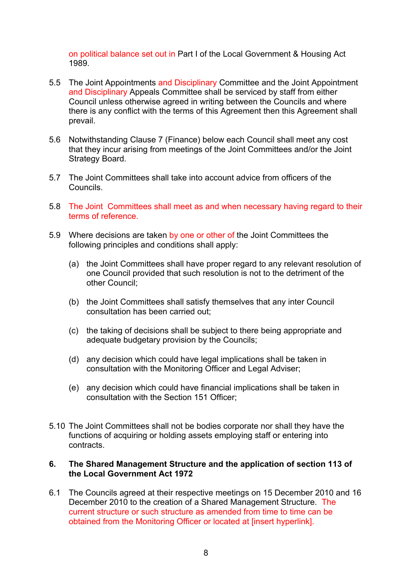on political balance set out in Part I of the Local Government & Housing Act 1989.

- 5.5 The Joint Appointments and Disciplinary Committee and the Joint Appointment and Disciplinary Appeals Committee shall be serviced by staff from either Council unless otherwise agreed in writing between the Councils and where there is any conflict with the terms of this Agreement then this Agreement shall prevail.
- 5.6 Notwithstanding Clause 7 (Finance) below each Council shall meet any cost that they incur arising from meetings of the Joint Committees and/or the Joint Strategy Board.
- 5.7 The Joint Committees shall take into account advice from officers of the Councils.
- 5.8 The Joint Committees shall meet as and when necessary having regard to their terms of reference.
- 5.9 Where decisions are taken by one or other of the Joint Committees the following principles and conditions shall apply:
	- (a) the Joint Committees shall have proper regard to any relevant resolution of one Council provided that such resolution is not to the detriment of the other Council;
	- (b) the Joint Committees shall satisfy themselves that any inter Council consultation has been carried out;
	- (c) the taking of decisions shall be subject to there being appropriate and adequate budgetary provision by the Councils;
	- (d) any decision which could have legal implications shall be taken in consultation with the Monitoring Officer and Legal Adviser;
	- (e) any decision which could have financial implications shall be taken in consultation with the Section 151 Officer;
- 5.10 The Joint Committees shall not be bodies corporate nor shall they have the functions of acquiring or holding assets employing staff or entering into contracts.

#### **6. The Shared Management Structure and the application of section 113 of the Local Government Act 1972**

6.1 The Councils agreed at their respective meetings on 15 December 2010 and 16 December 2010 to the creation of a Shared Management Structure. The current structure or such structure as amended from time to time can be obtained from the Monitoring Officer or located at linsert hyperlink].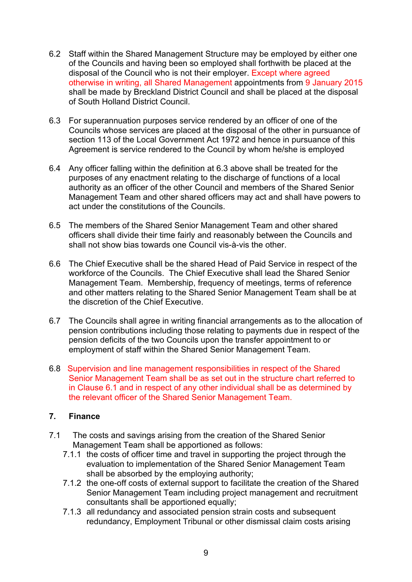- 6.2 Staff within the Shared Management Structure may be employed by either one of the Councils and having been so employed shall forthwith be placed at the disposal of the Council who is not their employer. Except where agreed otherwise in writing, all Shared Management appointments from 9 January 2015 shall be made by Breckland District Council and shall be placed at the disposal of South Holland District Council.
- 6.3 For superannuation purposes service rendered by an officer of one of the Councils whose services are placed at the disposal of the other in pursuance of section 113 of the Local Government Act 1972 and hence in pursuance of this Agreement is service rendered to the Council by whom he/she is employed
- 6.4 Any officer falling within the definition at 6.3 above shall be treated for the purposes of any enactment relating to the discharge of functions of a local authority as an officer of the other Council and members of the Shared Senior Management Team and other shared officers may act and shall have powers to act under the constitutions of the Councils.
- 6.5 The members of the Shared Senior Management Team and other shared officers shall divide their time fairly and reasonably between the Councils and shall not show bias towards one Council vis-à-vis the other.
- 6.6 The Chief Executive shall be the shared Head of Paid Service in respect of the workforce of the Councils. The Chief Executive shall lead the Shared Senior Management Team. Membership, frequency of meetings, terms of reference and other matters relating to the Shared Senior Management Team shall be at the discretion of the Chief Executive.
- 6.7 The Councils shall agree in writing financial arrangements as to the allocation of pension contributions including those relating to payments due in respect of the pension deficits of the two Councils upon the transfer appointment to or employment of staff within the Shared Senior Management Team.
- 6.8 Supervision and line management responsibilities in respect of the Shared Senior Management Team shall be as set out in the structure chart referred to in Clause 6.1 and in respect of any other individual shall be as determined by the relevant officer of the Shared Senior Management Team.

### **7. Finance**

- 7.1 The costs and savings arising from the creation of the Shared Senior Management Team shall be apportioned as follows:
	- 7.1.1 the costs of officer time and travel in supporting the project through the evaluation to implementation of the Shared Senior Management Team shall be absorbed by the employing authority;
	- 7.1.2 the one-off costs of external support to facilitate the creation of the Shared Senior Management Team including project management and recruitment consultants shall be apportioned equally;
	- 7.1.3 all redundancy and associated pension strain costs and subsequent redundancy, Employment Tribunal or other dismissal claim costs arising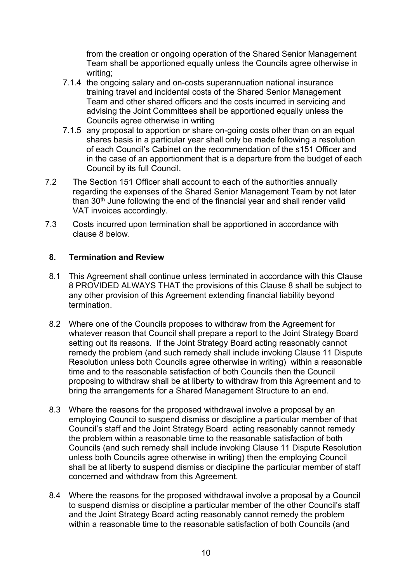from the creation or ongoing operation of the Shared Senior Management Team shall be apportioned equally unless the Councils agree otherwise in writing;

- 7.1.4 the ongoing salary and on-costs superannuation national insurance training travel and incidental costs of the Shared Senior Management Team and other shared officers and the costs incurred in servicing and advising the Joint Committees shall be apportioned equally unless the Councils agree otherwise in writing
- 7.1.5 any proposal to apportion or share on-going costs other than on an equal shares basis in a particular year shall only be made following a resolution of each Council's Cabinet on the recommendation of the s151 Officer and in the case of an apportionment that is a departure from the budget of each Council by its full Council.
- 7.2 The Section 151 Officer shall account to each of the authorities annually regarding the expenses of the Shared Senior Management Team by not later than 30th June following the end of the financial year and shall render valid VAT invoices accordingly.
- 7.3 Costs incurred upon termination shall be apportioned in accordance with clause 8 below.

### **8. Termination and Review**

- 8.1 This Agreement shall continue unless terminated in accordance with this Clause 8 PROVIDED ALWAYS THAT the provisions of this Clause 8 shall be subject to any other provision of this Agreement extending financial liability beyond termination.
- 8.2 Where one of the Councils proposes to withdraw from the Agreement for whatever reason that Council shall prepare a report to the Joint Strategy Board setting out its reasons. If the Joint Strategy Board acting reasonably cannot remedy the problem (and such remedy shall include invoking Clause 11 Dispute Resolution unless both Councils agree otherwise in writing) within a reasonable time and to the reasonable satisfaction of both Councils then the Council proposing to withdraw shall be at liberty to withdraw from this Agreement and to bring the arrangements for a Shared Management Structure to an end.
- 8.3 Where the reasons for the proposed withdrawal involve a proposal by an employing Council to suspend dismiss or discipline a particular member of that Council's staff and the Joint Strategy Board acting reasonably cannot remedy the problem within a reasonable time to the reasonable satisfaction of both Councils (and such remedy shall include invoking Clause 11 Dispute Resolution unless both Councils agree otherwise in writing) then the employing Council shall be at liberty to suspend dismiss or discipline the particular member of staff concerned and withdraw from this Agreement.
- 8.4 Where the reasons for the proposed withdrawal involve a proposal by a Council to suspend dismiss or discipline a particular member of the other Council's staff and the Joint Strategy Board acting reasonably cannot remedy the problem within a reasonable time to the reasonable satisfaction of both Councils (and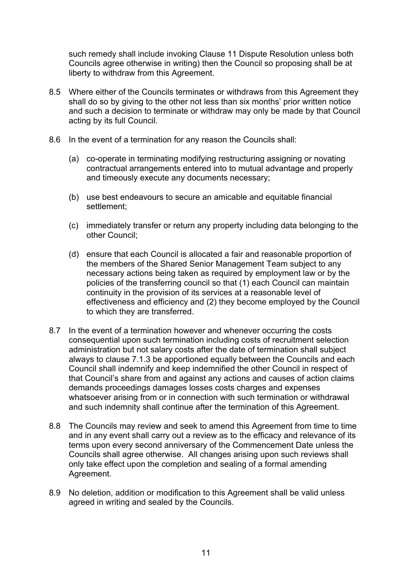such remedy shall include invoking Clause 11 Dispute Resolution unless both Councils agree otherwise in writing) then the Council so proposing shall be at liberty to withdraw from this Agreement.

- 8.5 Where either of the Councils terminates or withdraws from this Agreement they shall do so by giving to the other not less than six months' prior written notice and such a decision to terminate or withdraw may only be made by that Council acting by its full Council.
- 8.6 In the event of a termination for any reason the Councils shall:
	- (a) co-operate in terminating modifying restructuring assigning or novating contractual arrangements entered into to mutual advantage and properly and timeously execute any documents necessary;
	- (b) use best endeavours to secure an amicable and equitable financial settlement;
	- (c) immediately transfer or return any property including data belonging to the other Council;
	- (d) ensure that each Council is allocated a fair and reasonable proportion of the members of the Shared Senior Management Team subject to any necessary actions being taken as required by employment law or by the policies of the transferring council so that (1) each Council can maintain continuity in the provision of its services at a reasonable level of effectiveness and efficiency and (2) they become employed by the Council to which they are transferred.
- 8.7 In the event of a termination however and whenever occurring the costs consequential upon such termination including costs of recruitment selection administration but not salary costs after the date of termination shall subject always to clause 7.1.3 be apportioned equally between the Councils and each Council shall indemnify and keep indemnified the other Council in respect of that Council's share from and against any actions and causes of action claims demands proceedings damages losses costs charges and expenses whatsoever arising from or in connection with such termination or withdrawal and such indemnity shall continue after the termination of this Agreement.
- 8.8 The Councils may review and seek to amend this Agreement from time to time and in any event shall carry out a review as to the efficacy and relevance of its terms upon every second anniversary of the Commencement Date unless the Councils shall agree otherwise. All changes arising upon such reviews shall only take effect upon the completion and sealing of a formal amending Agreement.
- 8.9 No deletion, addition or modification to this Agreement shall be valid unless agreed in writing and sealed by the Councils.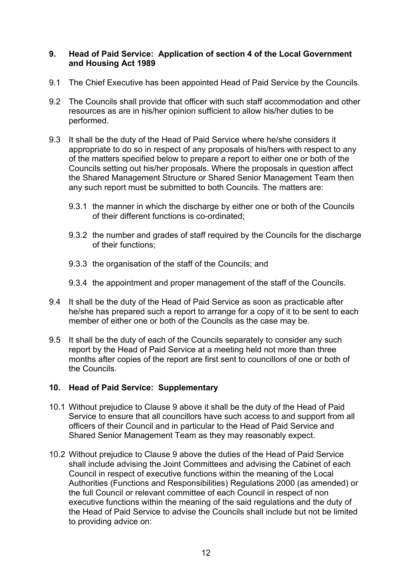#### **9. Head of Paid Service: Application of section 4 of the Local Government and Housing Act 1989**

- 9.1 The Chief Executive has been appointed Head of Paid Service by the Councils.
- 9.2 The Councils shall provide that officer with such staff accommodation and other resources as are in his/her opinion sufficient to allow his/her duties to be performed.
- 9.3 It shall be the duty of the Head of Paid Service where he/she considers it appropriate to do so in respect of any proposals of his/hers with respect to any of the matters specified below to prepare a report to either one or both of the Councils setting out his/her proposals. Where the proposals in question affect the Shared Management Structure or Shared Senior Management Team then any such report must be submitted to both Councils. The matters are:
	- 9.3.1 the manner in which the discharge by either one or both of the Councils of their different functions is co-ordinated;
	- 9.3.2 the number and grades of staff required by the Councils for the discharge of their functions;
	- 9.3.3 the organisation of the staff of the Councils; and
	- 9.3.4 the appointment and proper management of the staff of the Councils.
- 9.4 It shall be the duty of the Head of Paid Service as soon as practicable after he/she has prepared such a report to arrange for a copy of it to be sent to each member of either one or both of the Councils as the case may be.
- 9.5 It shall be the duty of each of the Councils separately to consider any such report by the Head of Paid Service at a meeting held not more than three months after copies of the report are first sent to councillors of one or both of the Councils.

### **10. Head of Paid Service: Supplementary**

- 10.1 Without prejudice to Clause 9 above it shall be the duty of the Head of Paid Service to ensure that all councillors have such access to and support from all officers of their Council and in particular to the Head of Paid Service and Shared Senior Management Team as they may reasonably expect.
- 10.2 Without prejudice to Clause 9 above the duties of the Head of Paid Service shall include advising the Joint Committees and advising the Cabinet of each Council in respect of executive functions within the meaning of the Local Authorities (Functions and Responsibilities) Regulations 2000 (as amended) or the full Council or relevant committee of each Council in respect of non executive functions within the meaning of the said regulations and the duty of the Head of Paid Service to advise the Councils shall include but not be limited to providing advice on: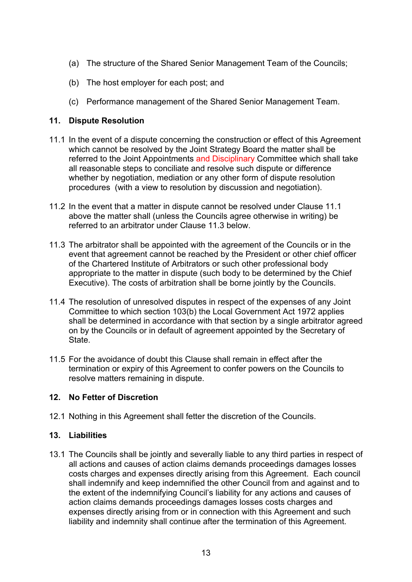- (a) The structure of the Shared Senior Management Team of the Councils;
- (b) The host employer for each post; and
- (c) Performance management of the Shared Senior Management Team.

## **11. Dispute Resolution**

- 11.1 In the event of a dispute concerning the construction or effect of this Agreement which cannot be resolved by the Joint Strategy Board the matter shall be referred to the Joint Appointments and Disciplinary Committee which shall take all reasonable steps to conciliate and resolve such dispute or difference whether by negotiation, mediation or any other form of dispute resolution procedures (with a view to resolution by discussion and negotiation).
- 11.2 In the event that a matter in dispute cannot be resolved under Clause 11.1 above the matter shall (unless the Councils agree otherwise in writing) be referred to an arbitrator under Clause 11.3 below.
- 11.3 The arbitrator shall be appointed with the agreement of the Councils or in the event that agreement cannot be reached by the President or other chief officer of the Chartered Institute of Arbitrators or such other professional body appropriate to the matter in dispute (such body to be determined by the Chief Executive). The costs of arbitration shall be borne jointly by the Councils.
- 11.4 The resolution of unresolved disputes in respect of the expenses of any Joint Committee to which section 103(b) the Local Government Act 1972 applies shall be determined in accordance with that section by a single arbitrator agreed on by the Councils or in default of agreement appointed by the Secretary of **State**
- 11.5 For the avoidance of doubt this Clause shall remain in effect after the termination or expiry of this Agreement to confer powers on the Councils to resolve matters remaining in dispute.

## **12. No Fetter of Discretion**

12.1 Nothing in this Agreement shall fetter the discretion of the Councils.

### **13. Liabilities**

13.1 The Councils shall be jointly and severally liable to any third parties in respect of all actions and causes of action claims demands proceedings damages losses costs charges and expenses directly arising from this Agreement. Each council shall indemnify and keep indemnified the other Council from and against and to the extent of the indemnifying Council's liability for any actions and causes of action claims demands proceedings damages losses costs charges and expenses directly arising from or in connection with this Agreement and such liability and indemnity shall continue after the termination of this Agreement.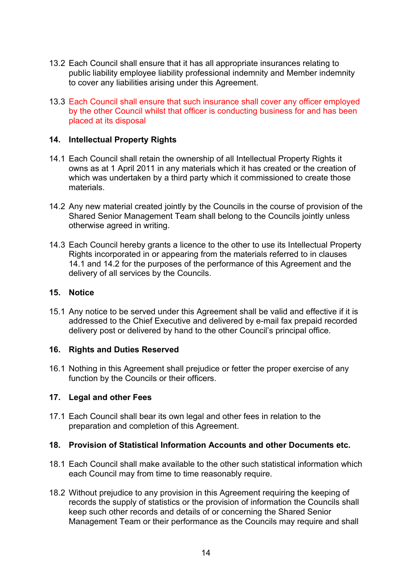- 13.2 Each Council shall ensure that it has all appropriate insurances relating to public liability employee liability professional indemnity and Member indemnity to cover any liabilities arising under this Agreement.
- 13.3 Each Council shall ensure that such insurance shall cover any officer employed by the other Council whilst that officer is conducting business for and has been placed at its disposal

#### **14. Intellectual Property Rights**

- 14.1 Each Council shall retain the ownership of all Intellectual Property Rights it owns as at 1 April 2011 in any materials which it has created or the creation of which was undertaken by a third party which it commissioned to create those materials.
- 14.2 Any new material created jointly by the Councils in the course of provision of the Shared Senior Management Team shall belong to the Councils jointly unless otherwise agreed in writing.
- 14.3 Each Council hereby grants a licence to the other to use its Intellectual Property Rights incorporated in or appearing from the materials referred to in clauses 14.1 and 14.2 for the purposes of the performance of this Agreement and the delivery of all services by the Councils.

#### **15. Notice**

15.1 Any notice to be served under this Agreement shall be valid and effective if it is addressed to the Chief Executive and delivered by e-mail fax prepaid recorded delivery post or delivered by hand to the other Council's principal office.

#### **16. Rights and Duties Reserved**

16.1 Nothing in this Agreement shall prejudice or fetter the proper exercise of any function by the Councils or their officers.

#### **17. Legal and other Fees**

17.1 Each Council shall bear its own legal and other fees in relation to the preparation and completion of this Agreement.

#### **18. Provision of Statistical Information Accounts and other Documents etc.**

- 18.1 Each Council shall make available to the other such statistical information which each Council may from time to time reasonably require.
- 18.2 Without prejudice to any provision in this Agreement requiring the keeping of records the supply of statistics or the provision of information the Councils shall keep such other records and details of or concerning the Shared Senior Management Team or their performance as the Councils may require and shall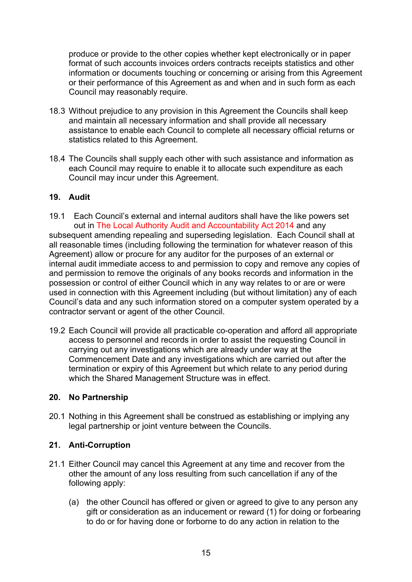produce or provide to the other copies whether kept electronically or in paper format of such accounts invoices orders contracts receipts statistics and other information or documents touching or concerning or arising from this Agreement or their performance of this Agreement as and when and in such form as each Council may reasonably require.

- 18.3 Without prejudice to any provision in this Agreement the Councils shall keep and maintain all necessary information and shall provide all necessary assistance to enable each Council to complete all necessary official returns or statistics related to this Agreement.
- 18.4 The Councils shall supply each other with such assistance and information as each Council may require to enable it to allocate such expenditure as each Council may incur under this Agreement.

### **19. Audit**

- 19.1 Each Council's external and internal auditors shall have the like powers set out in The Local Authority Audit and Accountability Act 2014 and any subsequent amending repealing and superseding legislation. Each Council shall at all reasonable times (including following the termination for whatever reason of this Agreement) allow or procure for any auditor for the purposes of an external or internal audit immediate access to and permission to copy and remove any copies of and permission to remove the originals of any books records and information in the possession or control of either Council which in any way relates to or are or were used in connection with this Agreement including (but without limitation) any of each Council's data and any such information stored on a computer system operated by a contractor servant or agent of the other Council.
- 19.2 Each Council will provide all practicable co-operation and afford all appropriate access to personnel and records in order to assist the requesting Council in carrying out any investigations which are already under way at the Commencement Date and any investigations which are carried out after the termination or expiry of this Agreement but which relate to any period during which the Shared Management Structure was in effect.

### **20. No Partnership**

20.1 Nothing in this Agreement shall be construed as establishing or implying any legal partnership or joint venture between the Councils.

## **21. Anti-Corruption**

- 21.1 Either Council may cancel this Agreement at any time and recover from the other the amount of any loss resulting from such cancellation if any of the following apply:
	- (a) the other Council has offered or given or agreed to give to any person any gift or consideration as an inducement or reward (1) for doing or forbearing to do or for having done or forborne to do any action in relation to the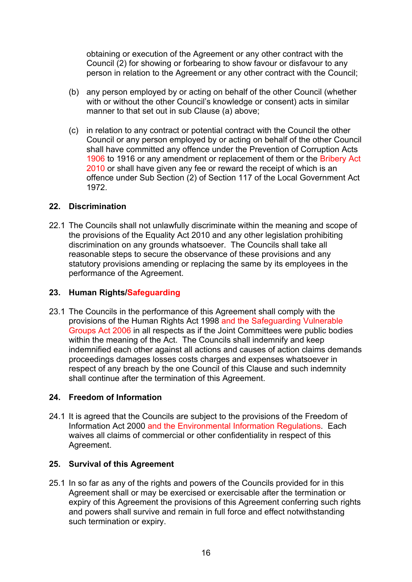obtaining or execution of the Agreement or any other contract with the Council (2) for showing or forbearing to show favour or disfavour to any person in relation to the Agreement or any other contract with the Council;

- (b) any person employed by or acting on behalf of the other Council (whether with or without the other Council's knowledge or consent) acts in similar manner to that set out in sub Clause (a) above;
- (c) in relation to any contract or potential contract with the Council the other Council or any person employed by or acting on behalf of the other Council shall have committed any offence under the Prevention of Corruption Acts 1906 to 1916 or any amendment or replacement of them or the Bribery Act 2010 or shall have given any fee or reward the receipt of which is an offence under Sub Section (2) of Section 117 of the Local Government Act 1972.

#### **22. Discrimination**

22.1 The Councils shall not unlawfully discriminate within the meaning and scope of the provisions of the Equality Act 2010 and any other legislation prohibiting discrimination on any grounds whatsoever. The Councils shall take all reasonable steps to secure the observance of these provisions and any statutory provisions amending or replacing the same by its employees in the performance of the Agreement.

#### **23. Human Rights/Safeguarding**

23.1 The Councils in the performance of this Agreement shall comply with the provisions of the Human Rights Act 1998 and the Safeguarding Vulnerable Groups Act 2006 in all respects as if the Joint Committees were public bodies within the meaning of the Act. The Councils shall indemnify and keep indemnified each other against all actions and causes of action claims demands proceedings damages losses costs charges and expenses whatsoever in respect of any breach by the one Council of this Clause and such indemnity shall continue after the termination of this Agreement.

### **24. Freedom of Information**

24.1 It is agreed that the Councils are subject to the provisions of the Freedom of Information Act 2000 and the Environmental Information Regulations. Each waives all claims of commercial or other confidentiality in respect of this Agreement.

#### **25. Survival of this Agreement**

25.1 In so far as any of the rights and powers of the Councils provided for in this Agreement shall or may be exercised or exercisable after the termination or expiry of this Agreement the provisions of this Agreement conferring such rights and powers shall survive and remain in full force and effect notwithstanding such termination or expiry.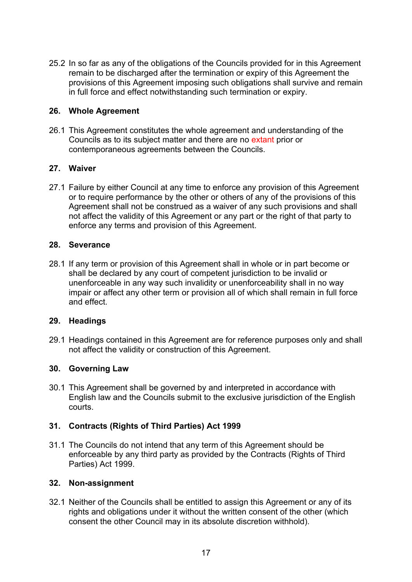25.2 In so far as any of the obligations of the Councils provided for in this Agreement remain to be discharged after the termination or expiry of this Agreement the provisions of this Agreement imposing such obligations shall survive and remain in full force and effect notwithstanding such termination or expiry.

#### **26. Whole Agreement**

26.1 This Agreement constitutes the whole agreement and understanding of the Councils as to its subject matter and there are no extant prior or contemporaneous agreements between the Councils.

#### **27. Waiver**

27.1 Failure by either Council at any time to enforce any provision of this Agreement or to require performance by the other or others of any of the provisions of this Agreement shall not be construed as a waiver of any such provisions and shall not affect the validity of this Agreement or any part or the right of that party to enforce any terms and provision of this Agreement.

#### **28. Severance**

28.1 If any term or provision of this Agreement shall in whole or in part become or shall be declared by any court of competent jurisdiction to be invalid or unenforceable in any way such invalidity or unenforceability shall in no way impair or affect any other term or provision all of which shall remain in full force and effect.

#### **29. Headings**

29.1 Headings contained in this Agreement are for reference purposes only and shall not affect the validity or construction of this Agreement.

#### **30. Governing Law**

30.1 This Agreement shall be governed by and interpreted in accordance with English law and the Councils submit to the exclusive jurisdiction of the English courts.

#### **31. Contracts (Rights of Third Parties) Act 1999**

31.1 The Councils do not intend that any term of this Agreement should be enforceable by any third party as provided by the Contracts (Rights of Third Parties) Act 1999.

#### **32. Non-assignment**

32.1 Neither of the Councils shall be entitled to assign this Agreement or any of its rights and obligations under it without the written consent of the other (which consent the other Council may in its absolute discretion withhold).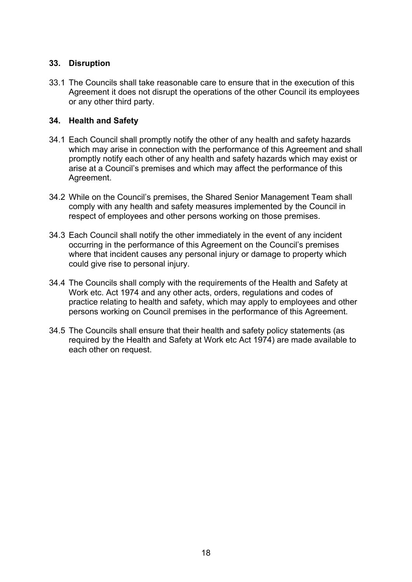#### **33. Disruption**

33.1 The Councils shall take reasonable care to ensure that in the execution of this Agreement it does not disrupt the operations of the other Council its employees or any other third party.

#### **34. Health and Safety**

- 34.1 Each Council shall promptly notify the other of any health and safety hazards which may arise in connection with the performance of this Agreement and shall promptly notify each other of any health and safety hazards which may exist or arise at a Council's premises and which may affect the performance of this Agreement.
- 34.2 While on the Council's premises, the Shared Senior Management Team shall comply with any health and safety measures implemented by the Council in respect of employees and other persons working on those premises.
- 34.3 Each Council shall notify the other immediately in the event of any incident occurring in the performance of this Agreement on the Council's premises where that incident causes any personal injury or damage to property which could give rise to personal injury.
- 34.4 The Councils shall comply with the requirements of the Health and Safety at Work etc. Act 1974 and any other acts, orders, regulations and codes of practice relating to health and safety, which may apply to employees and other persons working on Council premises in the performance of this Agreement.
- 34.5 The Councils shall ensure that their health and safety policy statements (as required by the Health and Safety at Work etc Act 1974) are made available to each other on request.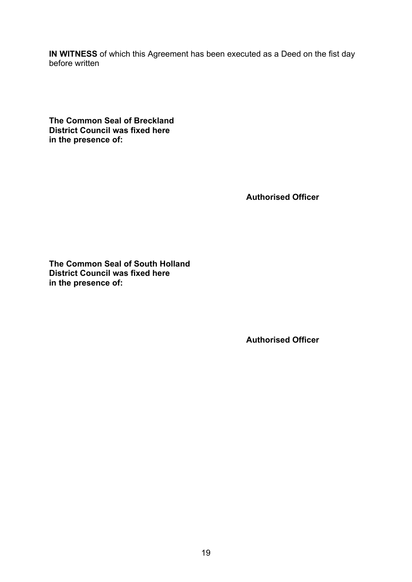**IN WITNESS** of which this Agreement has been executed as a Deed on the fist day before written

**The Common Seal of Breckland District Council was fixed here in the presence of:**

**Authorised Officer**

**The Common Seal of South Holland District Council was fixed here in the presence of:**

**Authorised Officer**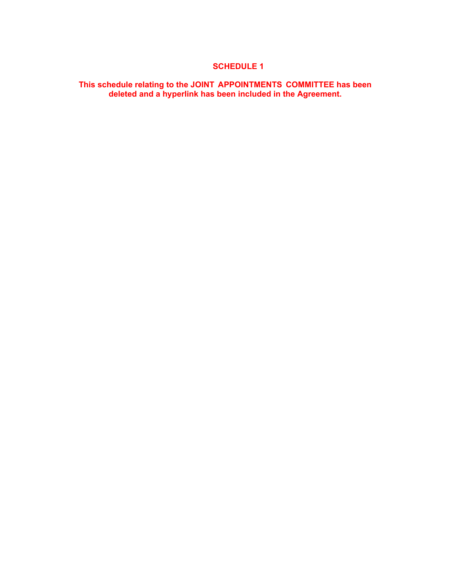#### **This schedule relating to the JOINT APPOINTMENTS COMMITTEE has been deleted and a hyperlink has been included in the Agreement.**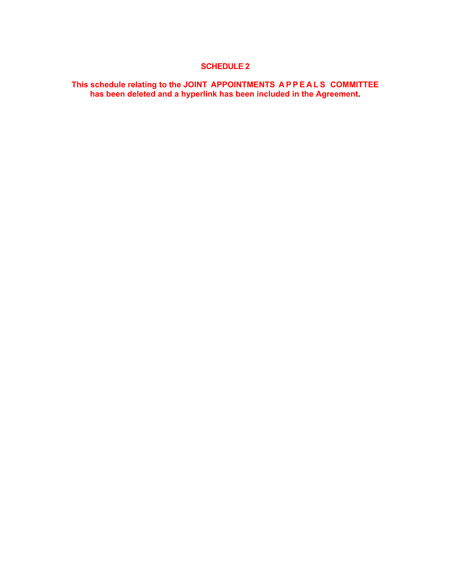#### **This schedule relating to the JOINT APPOINTMENTS A P P E A L S COMMITTEE has been deleted and a hyperlink has been included in the Agreement.**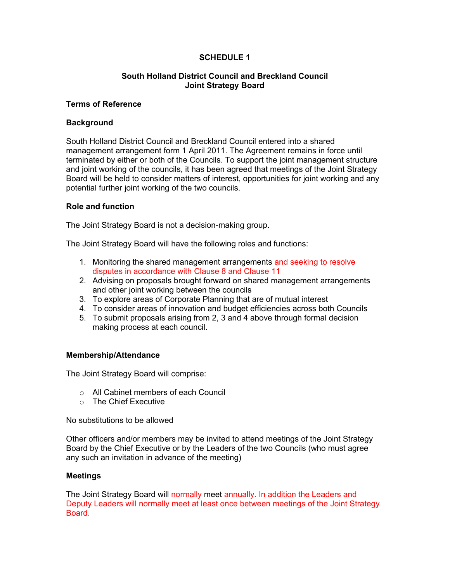#### **South Holland District Council and Breckland Council Joint Strategy Board**

#### **Terms of Reference**

#### **Background**

South Holland District Council and Breckland Council entered into a shared management arrangement form 1 April 2011. The Agreement remains in force until terminated by either or both of the Councils. To support the joint management structure and joint working of the councils, it has been agreed that meetings of the Joint Strategy Board will be held to consider matters of interest, opportunities for joint working and any potential further joint working of the two councils.

#### **Role and function**

The Joint Strategy Board is not a decision-making group.

The Joint Strategy Board will have the following roles and functions:

- 1. Monitoring the shared management arrangements and seeking to resolve disputes in accordance with Clause 8 and Clause 11
- 2. Advising on proposals brought forward on shared management arrangements and other joint working between the councils
- 3. To explore areas of Corporate Planning that are of mutual interest
- 4. To consider areas of innovation and budget efficiencies across both Councils
- 5. To submit proposals arising from 2, 3 and 4 above through formal decision making process at each council.

#### **Membership/Attendance**

The Joint Strategy Board will comprise:

- o All Cabinet members of each Council
- o The Chief Executive

No substitutions to be allowed

Other officers and/or members may be invited to attend meetings of the Joint Strategy Board by the Chief Executive or by the Leaders of the two Councils (who must agree any such an invitation in advance of the meeting)

#### **Meetings**

The Joint Strategy Board will normally meet annually. In addition the Leaders and Deputy Leaders will normally meet at least once between meetings of the Joint Strategy Board.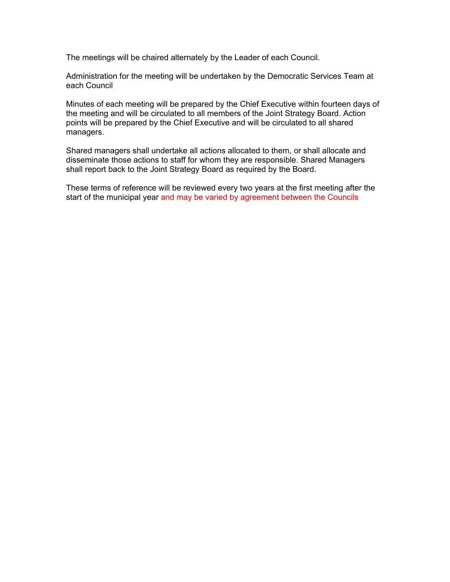The meetings will be chaired alternately by the Leader of each Council.

Administration for the meeting will be undertaken by the Democratic Services Team at each Council

Minutes of each meeting will be prepared by the Chief Executive within fourteen days of the meeting and will be circulated to all members of the Joint Strategy Board. Action points will be prepared by the Chief Executive and will be circulated to all shared managers.

Shared managers shall undertake all actions allocated to them, or shall allocate and disseminate those actions to staff for whom they are responsible. Shared Managers shall report back to the Joint Strategy Board as required by the Board.

These terms of reference will be reviewed every two years at the first meeting after the start of the municipal year and may be varied by agreement between the Councils